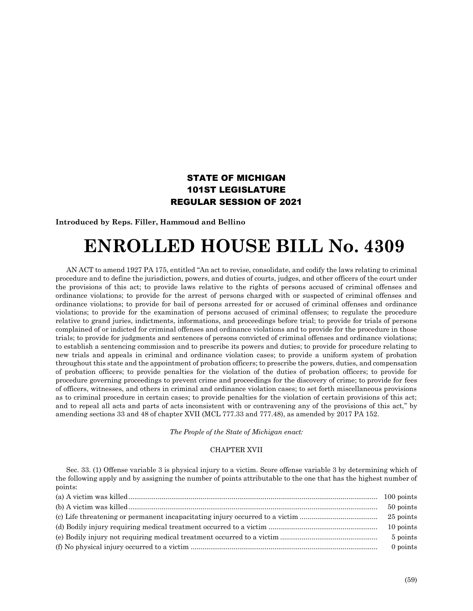## STATE OF MICHIGAN 101ST LEGISLATURE REGULAR SESSION OF 2021

**Introduced by Reps. Filler, Hammoud and Bellino**

## **ENROLLED HOUSE BILL No. 4309**

AN ACT to amend 1927 PA 175, entitled "An act to revise, consolidate, and codify the laws relating to criminal procedure and to define the jurisdiction, powers, and duties of courts, judges, and other officers of the court under the provisions of this act; to provide laws relative to the rights of persons accused of criminal offenses and ordinance violations; to provide for the arrest of persons charged with or suspected of criminal offenses and ordinance violations; to provide for bail of persons arrested for or accused of criminal offenses and ordinance violations; to provide for the examination of persons accused of criminal offenses; to regulate the procedure relative to grand juries, indictments, informations, and proceedings before trial; to provide for trials of persons complained of or indicted for criminal offenses and ordinance violations and to provide for the procedure in those trials; to provide for judgments and sentences of persons convicted of criminal offenses and ordinance violations; to establish a sentencing commission and to prescribe its powers and duties; to provide for procedure relating to new trials and appeals in criminal and ordinance violation cases; to provide a uniform system of probation throughout this state and the appointment of probation officers; to prescribe the powers, duties, and compensation of probation officers; to provide penalties for the violation of the duties of probation officers; to provide for procedure governing proceedings to prevent crime and proceedings for the discovery of crime; to provide for fees of officers, witnesses, and others in criminal and ordinance violation cases; to set forth miscellaneous provisions as to criminal procedure in certain cases; to provide penalties for the violation of certain provisions of this act; and to repeal all acts and parts of acts inconsistent with or contravening any of the provisions of this act," by amending sections 33 and 48 of chapter XVII (MCL 777.33 and 777.48), as amended by 2017 PA 152.

*The People of the State of Michigan enact:*

## CHAPTER XVII

Sec. 33. (1) Offense variable 3 is physical injury to a victim. Score offense variable 3 by determining which of the following apply and by assigning the number of points attributable to the one that has the highest number of points:

| 100 points |
|------------|
| 50 points  |
| 25 points  |
| 10 points  |
| 5 points   |
| 0 points   |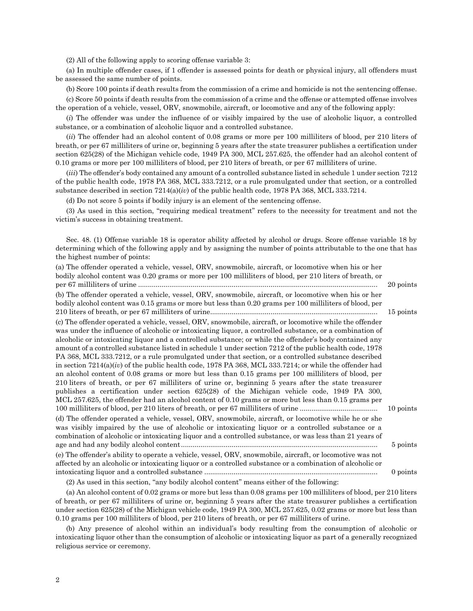(2) All of the following apply to scoring offense variable 3:

(a) In multiple offender cases, if 1 offender is assessed points for death or physical injury, all offenders must be assessed the same number of points.

(b) Score 100 points if death results from the commission of a crime and homicide is not the sentencing offense.

(c) Score 50 points if death results from the commission of a crime and the offense or attempted offense involves the operation of a vehicle, vessel, ORV, snowmobile, aircraft, or locomotive and any of the following apply:

(*i*) The offender was under the influence of or visibly impaired by the use of alcoholic liquor, a controlled substance, or a combination of alcoholic liquor and a controlled substance.

(*ii*) The offender had an alcohol content of 0.08 grams or more per 100 milliliters of blood, per 210 liters of breath, or per 67 milliliters of urine or, beginning 5 years after the state treasurer publishes a certification under section 625(28) of the Michigan vehicle code, 1949 PA 300, MCL 257.625, the offender had an alcohol content of 0.10 grams or more per 100 milliliters of blood, per 210 liters of breath, or per 67 milliliters of urine.

(*iii*) The offender's body contained any amount of a controlled substance listed in schedule 1 under section 7212 of the public health code, 1978 PA 368, MCL 333.7212, or a rule promulgated under that section, or a controlled substance described in section 7214(a)(*iv*) of the public health code, 1978 PA 368, MCL 333.7214.

(d) Do not score 5 points if bodily injury is an element of the sentencing offense.

(3) As used in this section, "requiring medical treatment" refers to the necessity for treatment and not the victim's success in obtaining treatment.

Sec. 48. (1) Offense variable 18 is operator ability affected by alcohol or drugs. Score offense variable 18 by determining which of the following apply and by assigning the number of points attributable to the one that has the highest number of points:

| (a) The offender operated a vehicle, vessel, ORV, snowmobile, aircraft, or locomotive when his or her<br>bodily alcohol content was 0.20 grams or more per 100 milliliters of blood, per 210 liters of breath, or                                                                                                                                                                                                                                                                                                                                                                                                                                                                                                                                                                                                                                                                                                                                                                                                                                                                  | 20 points |
|------------------------------------------------------------------------------------------------------------------------------------------------------------------------------------------------------------------------------------------------------------------------------------------------------------------------------------------------------------------------------------------------------------------------------------------------------------------------------------------------------------------------------------------------------------------------------------------------------------------------------------------------------------------------------------------------------------------------------------------------------------------------------------------------------------------------------------------------------------------------------------------------------------------------------------------------------------------------------------------------------------------------------------------------------------------------------------|-----------|
| (b) The offender operated a vehicle, vessel, ORV, snowmobile, aircraft, or locomotive when his or her<br>bodily alcohol content was 0.15 grams or more but less than 0.20 grams per 100 milliliters of blood, per                                                                                                                                                                                                                                                                                                                                                                                                                                                                                                                                                                                                                                                                                                                                                                                                                                                                  |           |
|                                                                                                                                                                                                                                                                                                                                                                                                                                                                                                                                                                                                                                                                                                                                                                                                                                                                                                                                                                                                                                                                                    | 15 points |
| (c) The offender operated a vehicle, vessel, ORV, snowmobile, aircraft, or locomotive while the offender<br>was under the influence of alcoholic or intoxicating liquor, a controlled substance, or a combination of<br>alcoholic or intoxicating liquor and a controlled substance; or while the offender's body contained any<br>amount of a controlled substance listed in schedule 1 under section 7212 of the public health code, 1978<br>PA 368, MCL 333.7212, or a rule promulgated under that section, or a controlled substance described<br>in section $7214(a)(iv)$ of the public health code, 1978 PA 368, MCL 333.7214; or while the offender had<br>an alcohol content of 0.08 grams or more but less than 0.15 grams per 100 milliliters of blood, per<br>210 liters of breath, or per 67 milliliters of urine or, beginning 5 years after the state treasurer<br>publishes a certification under section 625(28) of the Michigan vehicle code, 1949 PA 300,<br>MCL 257.625, the offender had an alcohol content of 0.10 grams or more but less than 0.15 grams per | 10 points |
| (d) The offender operated a vehicle, vessel, ORV, snowmobile, aircraft, or locomotive while he or she<br>was visibly impaired by the use of alcoholic or intoxicating liquor or a controlled substance or a<br>combination of alcoholic or intoxicating liquor and a controlled substance, or was less than 21 years of                                                                                                                                                                                                                                                                                                                                                                                                                                                                                                                                                                                                                                                                                                                                                            |           |
|                                                                                                                                                                                                                                                                                                                                                                                                                                                                                                                                                                                                                                                                                                                                                                                                                                                                                                                                                                                                                                                                                    | 5 points  |
| (e) The offender's ability to operate a vehicle, vessel, ORV, snowmobile, aircraft, or locomotive was not<br>affected by an alcoholic or intoxicating liquor or a controlled substance or a combination of alcoholic or                                                                                                                                                                                                                                                                                                                                                                                                                                                                                                                                                                                                                                                                                                                                                                                                                                                            |           |
| (9) Ag used in this section "ony hodily elected centert" means either of the following:                                                                                                                                                                                                                                                                                                                                                                                                                                                                                                                                                                                                                                                                                                                                                                                                                                                                                                                                                                                            | 0 points  |
|                                                                                                                                                                                                                                                                                                                                                                                                                                                                                                                                                                                                                                                                                                                                                                                                                                                                                                                                                                                                                                                                                    |           |

(2) As used in this section, "any bodily alcohol content" means either of the following:

(a) An alcohol content of 0.02 grams or more but less than 0.08 grams per 100 milliliters of blood, per 210 liters of breath, or per 67 milliliters of urine or, beginning 5 years after the state treasurer publishes a certification under section 625(28) of the Michigan vehicle code, 1949 PA 300, MCL 257.625, 0.02 grams or more but less than 0.10 grams per 100 milliliters of blood, per 210 liters of breath, or per 67 milliliters of urine.

(b) Any presence of alcohol within an individual's body resulting from the consumption of alcoholic or intoxicating liquor other than the consumption of alcoholic or intoxicating liquor as part of a generally recognized religious service or ceremony.